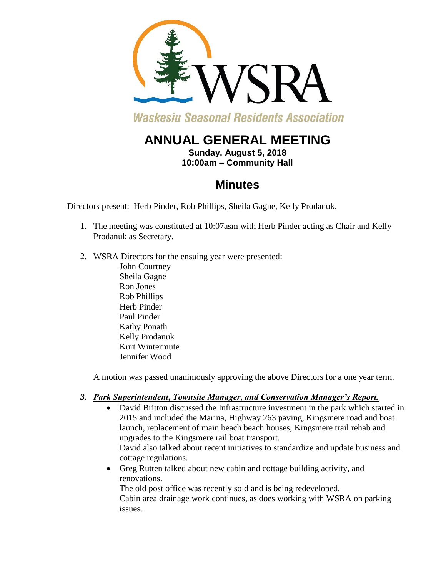

## **Waskesiu Seasonal Residents Association**

# **ANNUAL GENERAL MEETING**

**Sunday, August 5, 2018 10:00am – Community Hall**

## **Minutes**

Directors present: Herb Pinder, Rob Phillips, Sheila Gagne, Kelly Prodanuk.

- 1. The meeting was constituted at 10:07asm with Herb Pinder acting as Chair and Kelly Prodanuk as Secretary.
- 2. WSRA Directors for the ensuing year were presented:
	- John Courtney Sheila Gagne Ron Jones Rob Phillips Herb Pinder Paul Pinder Kathy Ponath Kelly Prodanuk Kurt Wintermute Jennifer Wood

A motion was passed unanimously approving the above Directors for a one year term.

- *3. Park Superintendent, Townsite Manager, and Conservation Manager's Report.*
	- David Britton discussed the Infrastructure investment in the park which started in 2015 and included the Marina, Highway 263 paving, Kingsmere road and boat launch, replacement of main beach beach houses, Kingsmere trail rehab and upgrades to the Kingsmere rail boat transport. David also talked about recent initiatives to standardize and update business and cottage regulations.
	- Greg Rutten talked about new cabin and cottage building activity, and renovations.

The old post office was recently sold and is being redeveloped. Cabin area drainage work continues, as does working with WSRA on parking issues.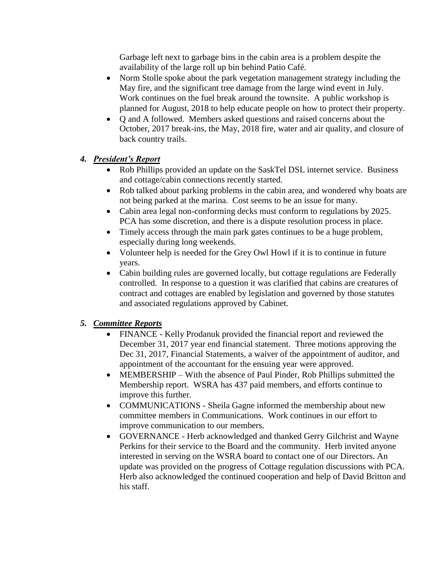Garbage left next to garbage bins in the cabin area is a problem despite the availability of the large roll up bin behind Patio Café.

- Norm Stolle spoke about the park vegetation management strategy including the May fire, and the significant tree damage from the large wind event in July. Work continues on the fuel break around the townsite. A public workshop is planned for August, 2018 to help educate people on how to protect their property.
- Q and A followed. Members asked questions and raised concerns about the October, 2017 break-ins, the May, 2018 fire, water and air quality, and closure of back country trails.

#### *4. President's Report*

- Rob Phillips provided an update on the SaskTel DSL internet service. Business and cottage/cabin connections recently started.
- Rob talked about parking problems in the cabin area, and wondered why boats are not being parked at the marina. Cost seems to be an issue for many.
- Cabin area legal non-conforming decks must conform to regulations by 2025. PCA has some discretion, and there is a dispute resolution process in place.
- Timely access through the main park gates continues to be a huge problem, especially during long weekends.
- Volunteer help is needed for the Grey Owl Howl if it is to continue in future years.
- Cabin building rules are governed locally, but cottage regulations are Federally controlled. In response to a question it was clarified that cabins are creatures of contract and cottages are enabled by legislation and governed by those statutes and associated regulations approved by Cabinet.

### *5. Committee Reports*

- FINANCE Kelly Prodanuk provided the financial report and reviewed the December 31, 2017 year end financial statement. Three motions approving the Dec 31, 2017, Financial Statements, a waiver of the appointment of auditor, and appointment of the accountant for the ensuing year were approved.
- MEMBERSHIP With the absence of Paul Pinder, Rob Phillips submitted the Membership report. WSRA has 437 paid members, and efforts continue to improve this further.
- COMMUNICATIONS Sheila Gagne informed the membership about new committee members in Communications. Work continues in our effort to improve communication to our members.
- GOVERNANCE Herb acknowledged and thanked Gerry Gilchrist and Wayne Perkins for their service to the Board and the community. Herb invited anyone interested in serving on the WSRA board to contact one of our Directors. An update was provided on the progress of Cottage regulation discussions with PCA. Herb also acknowledged the continued cooperation and help of David Britton and his staff.